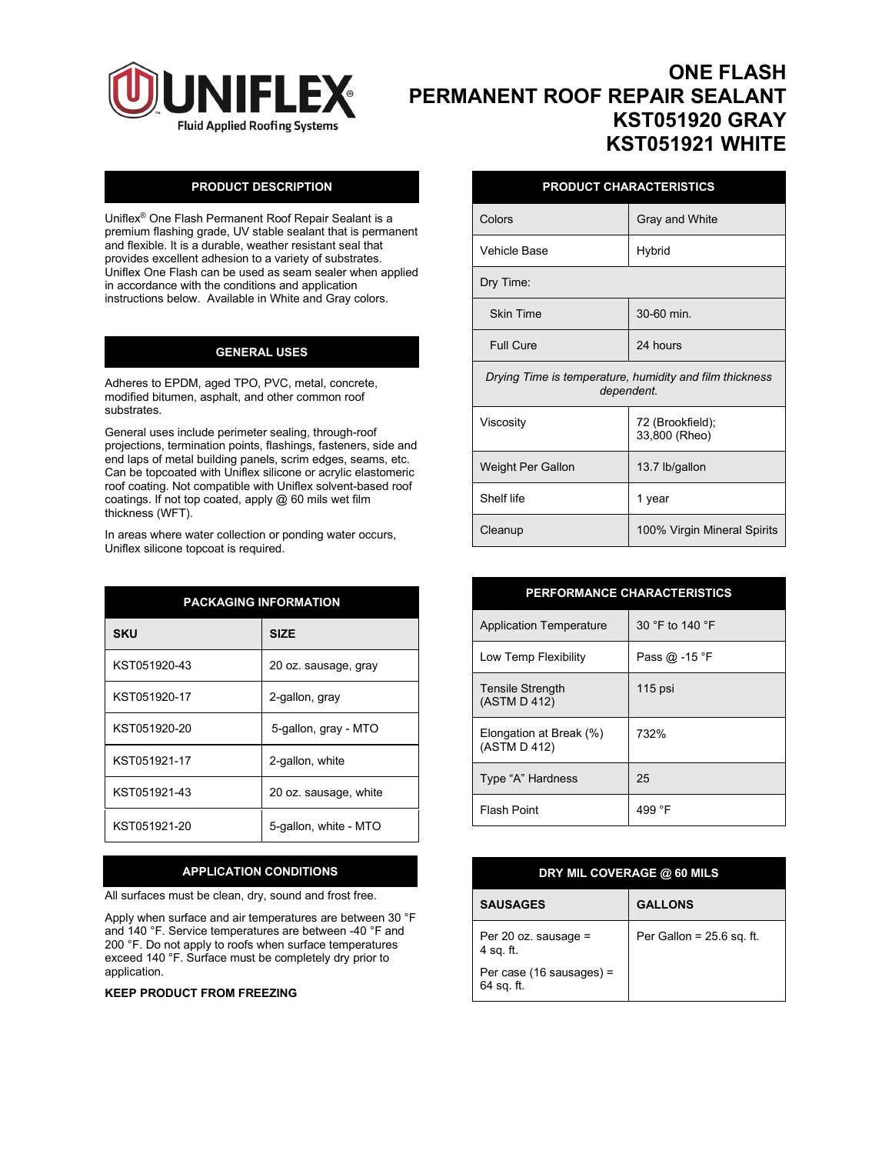

# **ONE FLASH PERMANENT ROOF REPAIR SEALANT KST051920 GRAY KST051921 WHITE**

## **PRODUCT DESCRIPTION**

Uniflex® One Flash Permanent Roof Repair Sealant is a premium flashing grade, UV stable sealant that is permanent and flexible. It is a durable, weather resistant seal that provides excellent adhesion to a variety of substrates. Uniflex One Flash can be used as seam sealer when applied in accordance with the conditions and application instructions below. Available in White and Gray colors.

### **GENERAL USES**

Adheres to EPDM, aged TPO, PVC, metal, concrete, modified bitumen, asphalt, and other common roof substrates.

General uses include perimeter sealing, through-roof projections, termination points, flashings, fasteners, side and end laps of metal building panels, scrim edges, seams, etc. Can be topcoated with Uniflex silicone or acrylic elastomeric roof coating. Not compatible with Uniflex solvent-based roof coatings. If not top coated, apply  $@$  60 mils wet film thickness (WFT).

In areas where water collection or ponding water occurs, Uniflex silicone topcoat is required.

| <b>PACKAGING INFORMATION</b> |                       |
|------------------------------|-----------------------|
| <b>SKU</b>                   | <b>SIZE</b>           |
| KST051920-43                 | 20 oz. sausage, gray  |
| KST051920-17                 | 2-gallon, gray        |
| KST051920-20                 | 5-gallon, gray - MTO  |
| KST051921-17                 | 2-gallon, white       |
| KST051921-43                 | 20 oz. sausage, white |
| KST051921-20                 | 5-gallon, white - MTO |

#### **APPLICATION CONDITIONS**

All surfaces must be clean, dry, sound and frost free.

Apply when surface and air temperatures are between 30 °F and 140 °F. Service temperatures are between -40 °F and 200 °F. Do not apply to roofs when surface temperatures exceed 140 °F. Surface must be completely dry prior to application.

#### **KEEP PRODUCT FROM FREEZING**

|  |  |  | <b>PRODUCT CHARACTERISTICS</b> |  |
|--|--|--|--------------------------------|--|
|  |  |  |                                |  |
|  |  |  |                                |  |

| Colors                                                                | Gray and White                    |  |
|-----------------------------------------------------------------------|-----------------------------------|--|
| Vehicle Base                                                          | Hybrid                            |  |
| Dry Time:                                                             |                                   |  |
| <b>Skin Time</b>                                                      | 30-60 min.                        |  |
| Full Cure                                                             | 24 hours                          |  |
| Drying Time is temperature, humidity and film thickness<br>dependent. |                                   |  |
| Viscosity                                                             | 72 (Brookfield);<br>33,800 (Rheo) |  |
| Weight Per Gallon                                                     | 13.7 lb/gallon                    |  |
| Shelf life                                                            | 1 year                            |  |
| Cleanup                                                               | 100% Virgin Mineral Spirits       |  |

| <b>PERFORMANCE CHARACTERISTICS</b>      |                 |
|-----------------------------------------|-----------------|
| <b>Application Temperature</b>          | 30 °F to 140 °F |
| Low Temp Flexibility                    | Pass @ -15 °F   |
| Tensile Strength<br>(ASTM D 412)        | $115$ psi       |
| Elongation at Break (%)<br>(ASTM D 412) | 732%            |
| Type "A" Hardness                       | 25              |
| <b>Flash Point</b>                      | 499 °F          |

| DRY MIL COVERAGE @ 60 MILS             |                             |  |
|----------------------------------------|-----------------------------|--|
| <b>SAUSAGES</b>                        | <b>GALLONS</b>              |  |
| Per 20 oz. sausage =<br>4 sq. ft.      | Per Gallon = $25.6$ sq. ft. |  |
| Per case (16 sausages) =<br>64 sq. ft. |                             |  |